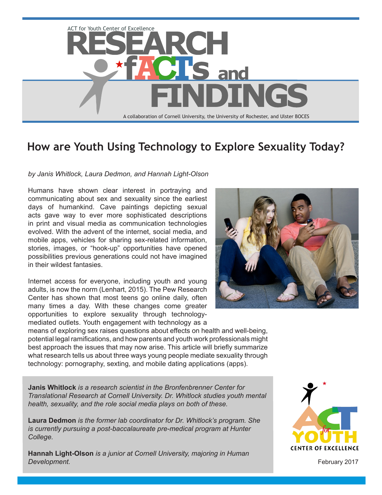

# **How are Youth Using Technology to Explore Sexuality Today?**

#### *by Janis Whitlock, Laura Dedmon, and Hannah Light-Olson*

Humans have shown clear interest in portraying and communicating about sex and sexuality since the earliest days of humankind. Cave paintings depicting sexual acts gave way to ever more sophisticated descriptions in print and visual media as communication technologies evolved. With the advent of the internet, social media, and mobile apps, vehicles for sharing sex-related information, stories, images, or "hook-up" opportunities have opened possibilities previous generations could not have imagined in their wildest fantasies.

Internet access for everyone, including youth and young adults, is now the norm (Lenhart, 2015). The Pew Research Center has shown that most teens go online daily, often many times a day. With these changes come greater opportunities to explore sexuality through technologymediated outlets. Youth engagement with technology as a

means of exploring sex raises questions about effects on health and well-being, potential legal ramifications, and how parents and youth work professionals might best approach the issues that may now arise. This article will briefly summarize what research tells us about three ways young people mediate sexuality through technology: pornography, sexting, and mobile dating applications (apps).

**Janis Whitlock** *is a research scientist in the Bronfenbrenner Center for Translational Research at Cornell University. Dr. Whitlock studies youth mental health, sexuality, and the role social media plays on both of these.* 

**Laura Dedmon** *is the former lab coordinator for Dr. Whitlock's program. She is currently pursuing a post-baccalaureate pre-medical program at Hunter College.*

**Hannah Light-Olson** *is a junior at Cornell University, majoring in Human Development.*





February 2017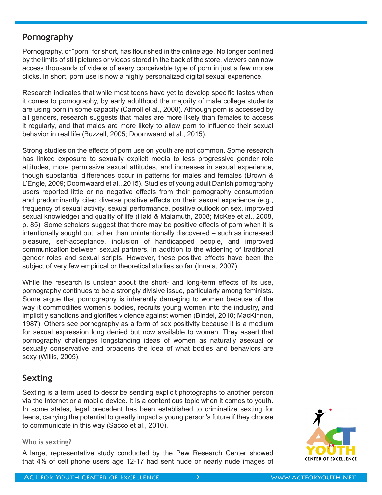## **Pornography**

Pornography, or "porn" for short, has flourished in the online age. No longer confined by the limits of still pictures or videos stored in the back of the store, viewers can now access thousands of videos of every conceivable type of porn in just a few mouse clicks. In short, porn use is now a highly personalized digital sexual experience.

Research indicates that while most teens have yet to develop specific tastes when it comes to pornography, by early adulthood the majority of male college students are using porn in some capacity (Carroll et al., 2008). Although porn is accessed by all genders, research suggests that males are more likely than females to access it regularly, and that males are more likely to allow porn to influence their sexual behavior in real life (Buzzell, 2005; Doornwaard et al., 2015).

Strong studies on the effects of porn use on youth are not common. Some research has linked exposure to sexually explicit media to less progressive gender role attitudes, more permissive sexual attitudes, and increases in sexual experience, though substantial differences occur in patterns for males and females (Brown & L'Engle, 2009; Doornwaard et al., 2015). Studies of young adult Danish pornography users reported little or no negative effects from their pornography consumption and predominantly cited diverse positive effects on their sexual experience (e.g., frequency of sexual activity, sexual performance, positive outlook on sex, improved sexual knowledge) and quality of life (Hald & Malamuth, 2008; McKee et al., 2008, p. 85). Some scholars suggest that there may be positive effects of porn when it is intentionally sought out rather than unintentionally discovered – such as increased pleasure, self-acceptance, inclusion of handicapped people, and improved communication between sexual partners, in addition to the widening of traditional gender roles and sexual scripts. However, these positive effects have been the subject of very few empirical or theoretical studies so far (Innala, 2007).

While the research is unclear about the short- and long-term effects of its use, pornography continues to be a strongly divisive issue, particularly among feminists. Some argue that pornography is inherently damaging to women because of the way it commodifies women's bodies, recruits young women into the industry, and implicitly sanctions and glorifies violence against women (Bindel, 2010; MacKinnon, 1987). Others see pornography as a form of sex positivity because it is a medium for sexual expression long denied but now available to women. They assert that pornography challenges longstanding ideas of women as naturally asexual or sexually conservative and broadens the idea of what bodies and behaviors are sexy (Willis, 2005).

## **Sexting**

Sexting is a term used to describe sending explicit photographs to another person via the Internet or a mobile device. It is a contentious topic when it comes to youth. In some states, legal precedent has been established to criminalize sexting for teens, carrying the potential to greatly impact a young person's future if they choose to communicate in this way (Sacco et al., 2010).

#### **Who is sexting?**

A large, representative study conducted by the Pew Research Center showed that 4% of cell phone users age 12-17 had sent nude or nearly nude images of

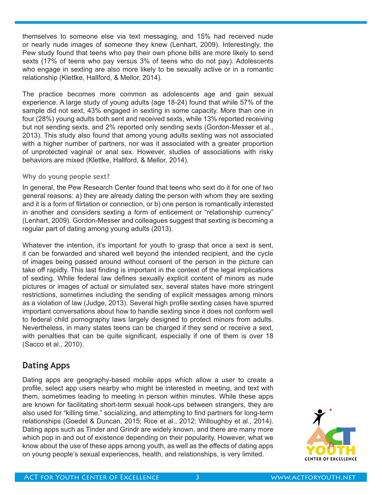themselves to someone else via text messaging, and 15% had received nude or nearly nude images of someone they knew (Lenhart, 2009). Interestingly, the Pew study found that teens who pay their own phone bills are more likely to send sexts (17% of teens who pay versus 3% of teens who do not pay). Adolescents who engage in sexting are also more likely to be sexually active or in a romantic relationship (Klettke, Hallford, & Mellor, 2014).

The practice becomes more common as adolescents age and gain sexual experience. A large study of young adults (age 18-24) found that while 57% of the sample did not sext, 43% engaged in sexting in some capacity. More than one in four (28%) young adults both sent and received sexts, while 13% reported receiving but not sending sexts, and 2% reported only sending sexts (Gordon-Messer et al., 2013). This study also found that among young adults sexting was not associated with a higher number of partners, nor was it associated with a greater proportion of unprotected vaginal or anal sex. However, studies of associations with risky behaviors are mixed (Klettke, Hallford, & Mellor, 2014).

#### **Why do young people sext?**

In general, the Pew Research Center found that teens who sext do it for one of two general reasons: a) they are already dating the person with whom they are sexting and it is a form of flirtation or connection, or b) one person is romantically interested in another and considers sexting a form of enticement or "relationship currency" (Lenhart, 2009). Gordon-Messer and colleagues suggest that sexting is becoming a regular part of dating among young adults (2013).

Whatever the intention, it's important for youth to grasp that once a sext is sent, it can be forwarded and shared well beyond the intended recipient, and the cycle of images being passed around without consent of the person in the picture can take off rapidly. This last finding is important in the context of the legal implications of sexting. While federal law defines sexually explicit content of minors as nude pictures or images of actual or simulated sex, several states have more stringent restrictions, sometimes including the sending of explicit messages among minors as a violation of law (Judge, 2013). Several high profile sexting cases have spurred important conversations about how to handle sexting since it does not conform well to federal child pornography laws largely designed to protect minors from adults. Nevertheless, in many states teens can be charged if they send or receive a sext, with penalties that can be quite significant, especially if one of them is over 18 (Sacco et al., 2010).

## **Dating Apps**

Dating apps are geography-based mobile apps which allow a user to create a profile, select app users nearby who might be interested in meeting, and text with them, sometimes leading to meeting in person within minutes. While these apps are known for facilitating short-term sexual hook-ups between strangers, they are also used for "killing time," socializing, and attempting to find partners for long-term relationships (Goedel & Duncan, 2015; Rice et al., 2012; Willoughby et al., 2014). Dating apps such as Tinder and Grindr are widely known, and there are many more which pop in and out of existence depending on their popularity. However, what we know about the use of these apps among youth, as well as the effects of dating apps on young people's sexual experiences, health, and relationships, is very limited.

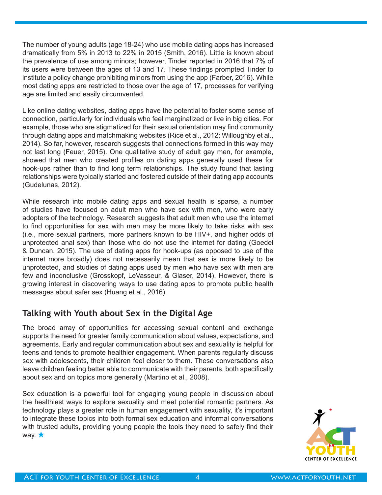The number of young adults (age 18-24) who use mobile dating apps has increased dramatically from 5% in 2013 to 22% in 2015 (Smith, 2016). Little is known about the prevalence of use among minors; however, Tinder reported in 2016 that 7% of its users were between the ages of 13 and 17. These findings prompted Tinder to institute a policy change prohibiting minors from using the app (Farber, 2016). While most dating apps are restricted to those over the age of 17, processes for verifying age are limited and easily circumvented.

Like online dating websites, dating apps have the potential to foster some sense of connection, particularly for individuals who feel marginalized or live in big cities. For example, those who are stigmatized for their sexual orientation may find community through dating apps and matchmaking websites (Rice et al., 2012; Willoughby et al., 2014). So far, however, research suggests that connections formed in this way may not last long (Feuer, 2015). One qualitative study of adult gay men, for example, showed that men who created profiles on dating apps generally used these for hook-ups rather than to find long term relationships. The study found that lasting relationships were typically started and fostered outside of their dating app accounts (Gudelunas, 2012).

While research into mobile dating apps and sexual health is sparse, a number of studies have focused on adult men who have sex with men, who were early adopters of the technology. Research suggests that adult men who use the internet to find opportunities for sex with men may be more likely to take risks with sex (i.e., more sexual partners, more partners known to be HIV+, and higher odds of unprotected anal sex) than those who do not use the internet for dating (Goedel & Duncan, 2015). The use of dating apps for hook-ups (as opposed to use of the internet more broadly) does not necessarily mean that sex is more likely to be unprotected, and studies of dating apps used by men who have sex with men are few and inconclusive (Grosskopf, LeVasseur, & Glaser, 2014). However, there is growing interest in discovering ways to use dating apps to promote public health messages about safer sex (Huang et al., 2016).

# **Talking with Youth about Sex in the Digital Age**

The broad array of opportunities for accessing sexual content and exchange supports the need for greater family communication about values, expectations, and agreements. Early and regular communication about sex and sexuality is helpful for teens and tends to promote healthier engagement. When parents regularly discuss sex with adolescents, their children feel closer to them. These conversations also leave children feeling better able to communicate with their parents, both specifically about sex and on topics more generally (Martino et al., 2008).

Sex education is a powerful tool for engaging young people in discussion about the healthiest ways to explore sexuality and meet potential romantic partners. As technology plays a greater role in human engagement with sexuality, it's important to integrate these topics into both formal sex education and informal conversations with trusted adults, providing young people the tools they need to safely find their way.  $\bigstar$ 

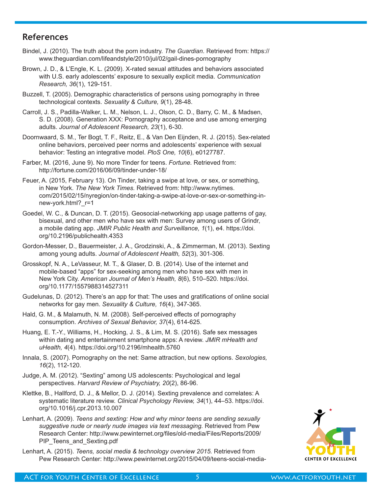#### **References**

- Bindel, J. (2010). The truth about the porn industry. *The Guardian*. Retrieved from: https:// www.theguardian.com/lifeandstyle/2010/jul/02/gail-dines-pornography
- Brown, J. D., & L'Engle, K. L. (2009). X-rated sexual attitudes and behaviors associated with U.S. early adolescents' exposure to sexually explicit media. *Communication Research, 36*(1), 129-151.
- Buzzell, T. (2005). Demographic characteristics of persons using pornography in three technological contexts. *Sexuality & Culture, 9*(1), 28-48.
- Carroll, J. S., Padilla-Walker, L. M., Nelson, L. J., Olson, C. D., Barry, C. M., & Madsen, S. D. (2008). Generation XXX: Pornography acceptance and use among emerging adults. *Journal of Adolescent Research, 23*(1), 6-30.
- Doornwaard, S. M., Ter Bogt, T. F., Reitz, E., & Van Den Eijnden, R. J. (2015). Sex-related online behaviors, perceived peer norms and adolescents' experience with sexual behavior: Testing an integrative model. *PloS One, 10*(6), e0127787.
- Farber, M. (2016, June 9). No more Tinder for teens. *Fortune.* Retrieved from: http://fortune.com/2016/06/09/tinder-under-18/
- Feuer, A. (2015, February 13). On Tinder, taking a swipe at love, or sex, or something, in New York. *The New York Times.* Retrieved from: http://www.nytimes. com/2015/02/15/nyregion/on-tinder-taking-a-swipe-at-love-or-sex-or-something-innew-york.html?\_r=1
- Goedel, W. C., & Duncan, D. T. (2015). Geosocial-networking app usage patterns of gay, bisexual, and other men who have sex with men: Survey among users of Grindr, a mobile dating app. *JMIR Public Health and Surveillance, 1*(1), e4. https://doi. org/10.2196/publichealth.4353
- Gordon-Messer, D., Bauermeister, J. A., Grodzinski, A., & Zimmerman, M. (2013). Sexting among young adults. *Journal of Adolescent Health, 52*(3), 301-306.
- Grosskopf, N. A., LeVasseur, M. T., & Glaser, D. B. (2014). Use of the internet and mobile-based "apps" for sex-seeking among men who have sex with men in New York City. *American Journal of Men's Health, 8*(6), 510–520. https://doi. org/10.1177/1557988314527311
- Gudelunas, D. (2012). There's an app for that: The uses and gratifications of online social networks for gay men. *Sexuality & Culture, 16*(4), 347-365.
- Hald, G. M., & Malamuth, N. M. (2008). Self-perceived effects of pornography consumption. *Archives of Sexual Behavior, 37*(4), 614-625.
- Huang, E. T.-Y., Williams, H., Hocking, J. S., & Lim, M. S. (2016). Safe sex messages within dating and entertainment smartphone apps: A review. *JMIR mHealth and uHealth, 4*(4). https://doi.org/10.2196/mhealth.5760
- Innala, S. (2007). Pornography on the net: Same attraction, but new options. *Sexologies, 16*(2), 112-120.
- Judge, A. M. (2012). "Sexting" among US adolescents: Psychological and legal perspectives. *Harvard Review of Psychiatry, 20*(2), 86-96.
- Klettke, B., Hallford, D. J., & Mellor, D. J. (2014). Sexting prevalence and correlates: A systematic literature review. *Clinical Psychology Review, 34*(1), 44–53. https://doi. org/10.1016/j.cpr.2013.10.007
- Lenhart, A. (2009). *Teens and sexting: How and why minor teens are sending sexually suggestive nude or nearly nude images via text messaging.* Retrieved from Pew Research Center: http://www.pewinternet.org/files/old-media/Files/Reports/2009/ PIP\_Teens\_and\_Sexting.pdf
- Lenhart, A. (2015). *Teens, social media & technology overview 2015.* Retrieved from Pew Research Center: http://www.pewinternet.org/2015/04/09/teens-social-media-